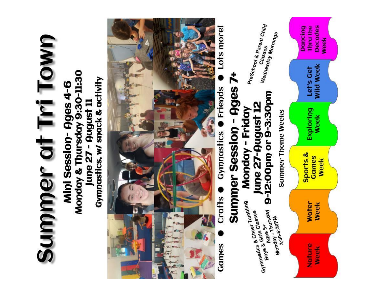# Summer at Tri Town

Monday & Thursday 9:30-11:30 Gymnastics, w/ snack & activity Mini Session-Ages 4-6 June 27 - August 11



Lots more! Friends Gympastics Crafts Games

# Summer Session - Ages 7+ 9-12:00pm or 9-3:30pm June 27-August 12 Monday - Friday **Summer Theme Weeks** Gymnastics & Cheer Tumbling 3:30-5:30PM Ages 5+

Boys & Girls Classes

Monday - Thursday

PreSchool & Parent Child Wednesday Mornings

**Dancing** 

**Wild Week** Let's Get

Decades **Thru** the Week

Exploring Week

**Week** 

Sports & Games

**Water Week** 

Week

Nature